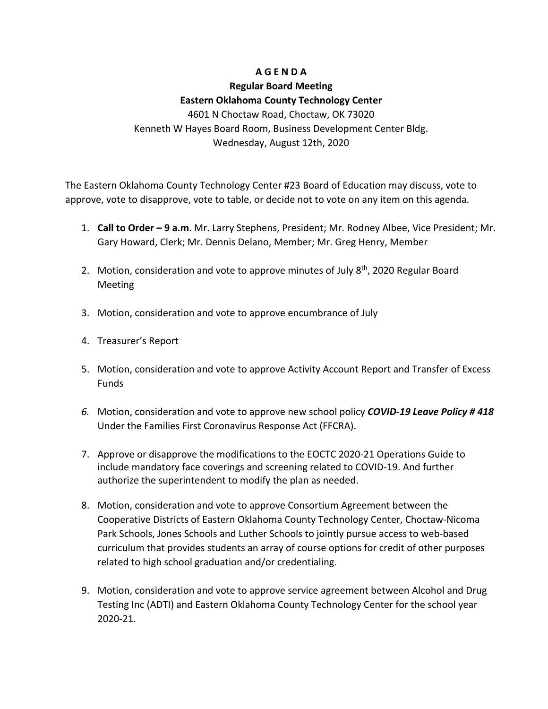# **A G E N D A**

# **Regular Board Meeting Eastern Oklahoma County Technology Center** 4601 N Choctaw Road, Choctaw, OK 73020

Kenneth W Hayes Board Room, Business Development Center Bldg. Wednesday, August 12th, 2020

The Eastern Oklahoma County Technology Center #23 Board of Education may discuss, vote to approve, vote to disapprove, vote to table, or decide not to vote on any item on this agenda.

- 1. **Call to Order – 9 a.m.** Mr. Larry Stephens, President; Mr. Rodney Albee, Vice President; Mr. Gary Howard, Clerk; Mr. Dennis Delano, Member; Mr. Greg Henry, Member
- 2. Motion, consideration and vote to approve minutes of July 8<sup>th</sup>, 2020 Regular Board Meeting
- 3. Motion, consideration and vote to approve encumbrance of July
- 4. Treasurer's Report
- 5. Motion, consideration and vote to approve Activity Account Report and Transfer of Excess Funds
- *6.* Motion, consideration and vote to approve new school policy *COVID-19 Leave Policy # 418* Under the Families First Coronavirus Response Act (FFCRA).
- 7. Approve or disapprove the modifications to the EOCTC 2020-21 Operations Guide to include mandatory face coverings and screening related to COVID-19. And further authorize the superintendent to modify the plan as needed.
- 8. Motion, consideration and vote to approve Consortium Agreement between the Cooperative Districts of Eastern Oklahoma County Technology Center, Choctaw-Nicoma Park Schools, Jones Schools and Luther Schools to jointly pursue access to web-based curriculum that provides students an array of course options for credit of other purposes related to high school graduation and/or credentialing.
- 9. Motion, consideration and vote to approve service agreement between Alcohol and Drug Testing Inc (ADTI) and Eastern Oklahoma County Technology Center for the school year 2020-21.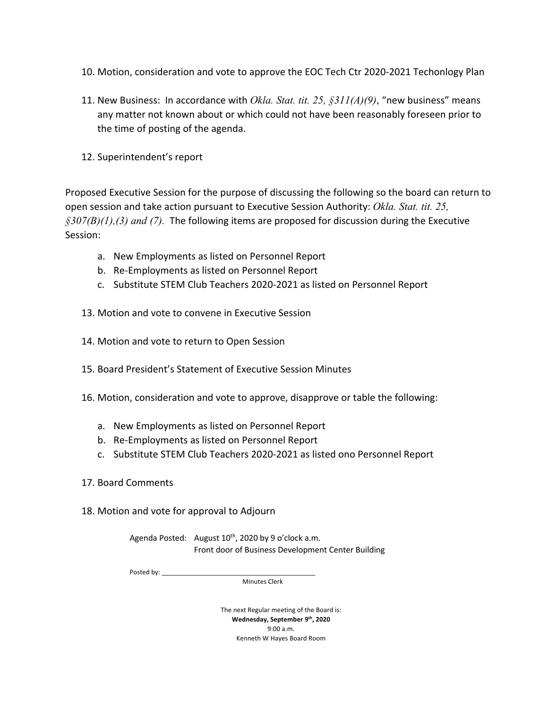- 10. Motion, consideration and vote to approve the EOC Tech Ctr 2020-2021 Techonlogy Plan
- 11. New Business: In accordance with *Okla. Stat. tit. 25, §311(A)(9)*, "new business" means any matter not known about or which could not have been reasonably foreseen prior to the time of posting of the agenda.
- 12. Superintendent's report

Proposed Executive Session for the purpose of discussing the following so the board can return to open session and take action pursuant to Executive Session Authority: *Okla. Stat. tit. 25, §307(B)(1),(3) and (7).* The following items are proposed for discussion during the Executive Session:

- a. New Employments as listed on Personnel Report
- b. Re-Employments as listed on Personnel Report
- c. Substitute STEM Club Teachers 2020-2021 as listed on Personnel Report
- 13. Motion and vote to convene in Executive Session
- 14. Motion and vote to return to Open Session
- 15. Board President's Statement of Executive Session Minutes
- 16. Motion, consideration and vote to approve, disapprove or table the following:
	- a. New Employments as listed on Personnel Report
	- b. Re-Employments as listed on Personnel Report
	- c. Substitute STEM Club Teachers 2020-2021 as listed ono Personnel Report
- 17. Board Comments
- 18. Motion and vote for approval to Adjourn

Agenda Posted: August  $10^{th}$ , 2020 by 9 o'clock a.m. Front door of Business Development Center Building

Posted by: \_\_\_\_\_

Minutes Clerk

The next Regular meeting of the Board is: **Wednesday, September 9th, 2020** 9:00 a.m. Kenneth W Hayes Board Room